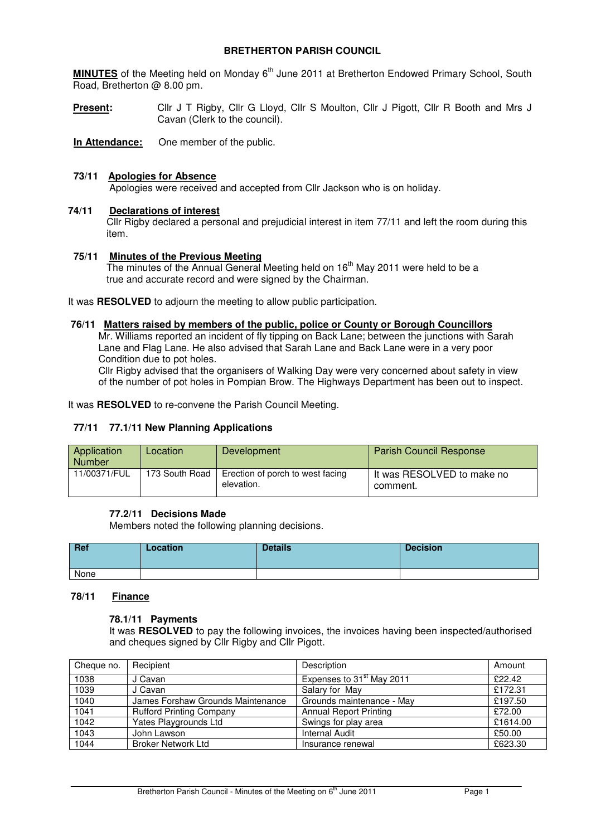# **BRETHERTON PARISH COUNCIL**

**MINUTES** of the Meeting held on Monday 6<sup>th</sup> June 2011 at Bretherton Endowed Primary School, South Road, Bretherton @ 8.00 pm.

**Present:** Cllr J T Rigby, Cllr G Lloyd, Cllr S Moulton, Cllr J Pigott, Cllr R Booth and Mrs J Cavan (Clerk to the council).

**In Attendance:** One member of the public.

# **73/11 Apologies for Absence**

Apologies were received and accepted from Cllr Jackson who is on holiday.

# **74/11 Declarations of interest**

 Cllr Rigby declared a personal and prejudicial interest in item 77/11 and left the room during this item.

### **75/11 Minutes of the Previous Meeting**

The minutes of the Annual General Meeting held on 16<sup>th</sup> May 2011 were held to be a true and accurate record and were signed by the Chairman.

It was **RESOLVED** to adjourn the meeting to allow public participation.

### **76/11 Matters raised by members of the public, police or County or Borough Councillors**

 Mr. Williams reported an incident of fly tipping on Back Lane; between the junctions with Sarah Lane and Flag Lane. He also advised that Sarah Lane and Back Lane were in a very poor Condition due to pot holes.

 Cllr Rigby advised that the organisers of Walking Day were very concerned about safety in view of the number of pot holes in Pompian Brow. The Highways Department has been out to inspect.

It was **RESOLVED** to re-convene the Parish Council Meeting.

# **77/11 77.1/11 New Planning Applications**

| Application<br><b>Number</b> | Location       | Development                                    | <b>Parish Council Response</b>           |
|------------------------------|----------------|------------------------------------------------|------------------------------------------|
| 11/00371/FUL                 | 173 South Road | Erection of porch to west facing<br>elevation. | l It was RESOLVED to make no<br>comment. |

# **77.2/11 Decisions Made**

Members noted the following planning decisions.

| Ref  | Location | <b>Details</b> | <b>Decision</b> |
|------|----------|----------------|-----------------|
| None |          |                |                 |

#### **78/11 Finance**

#### **78.1/11 Payments**

It was **RESOLVED** to pay the following invoices, the invoices having been inspected/authorised and cheques signed by Cllr Rigby and Cllr Pigott.

| Cheque no. | Recipient                         | Description                           | Amount   |
|------------|-----------------------------------|---------------------------------------|----------|
| 1038       | J Cavan                           | Expenses to 31 <sup>st</sup> May 2011 | £22.42   |
| 1039       | J Cavan                           | Salary for May                        | £172.31  |
| 1040       | James Forshaw Grounds Maintenance | Grounds maintenance - May             | £197.50  |
| 1041       | <b>Rufford Printing Company</b>   | <b>Annual Report Printing</b>         | £72.00   |
| 1042       | Yates Playgrounds Ltd             | Swings for play area                  | £1614.00 |
| 1043       | John Lawson                       | <b>Internal Audit</b>                 | £50.00   |
| 1044       | <b>Broker Network Ltd</b>         | Insurance renewal                     | £623.30  |